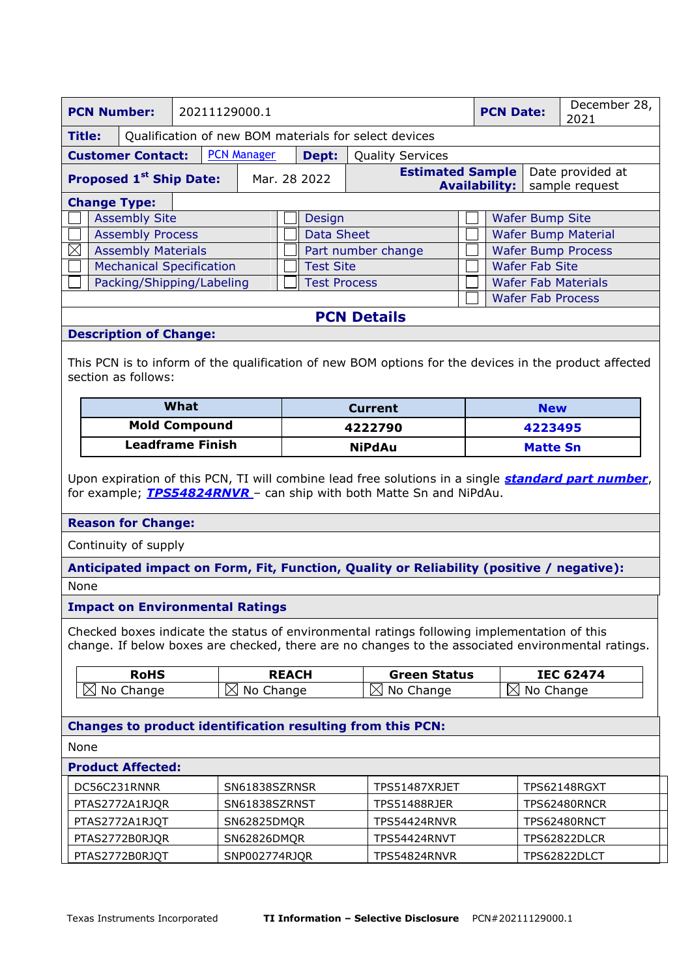| <b>PCN Number:</b><br><b>PCN Date:</b><br>20211129000.1                                                                                                                                          |                                 |           |                                     |                                                                        | December 28,                                                                                          |                        |                            |                            |  |
|--------------------------------------------------------------------------------------------------------------------------------------------------------------------------------------------------|---------------------------------|-----------|-------------------------------------|------------------------------------------------------------------------|-------------------------------------------------------------------------------------------------------|------------------------|----------------------------|----------------------------|--|
|                                                                                                                                                                                                  |                                 |           |                                     |                                                                        |                                                                                                       |                        |                            | 2021                       |  |
| <b>Title:</b>                                                                                                                                                                                    |                                 |           |                                     |                                                                        | Qualification of new BOM materials for select devices                                                 |                        |                            |                            |  |
| <b>PCN Manager</b><br><b>Customer Contact:</b><br>Dept:<br><b>Quality Services</b>                                                                                                               |                                 |           |                                     |                                                                        |                                                                                                       |                        |                            |                            |  |
| <b>Proposed 1st Ship Date:</b>                                                                                                                                                                   |                                 |           | Mar. 28 2022                        |                                                                        | <b>Estimated Sample</b>                                                                               |                        |                            | Date provided at           |  |
|                                                                                                                                                                                                  |                                 |           |                                     |                                                                        |                                                                                                       | <b>Availability:</b>   |                            | sample request             |  |
| <b>Change Type:</b>                                                                                                                                                                              | <b>Assembly Site</b>            |           |                                     |                                                                        |                                                                                                       |                        | <b>Wafer Bump Site</b>     |                            |  |
|                                                                                                                                                                                                  | <b>Assembly Process</b>         |           |                                     | Design<br><b>Data Sheet</b>                                            |                                                                                                       |                        |                            | <b>Wafer Bump Material</b> |  |
| $\boxtimes$                                                                                                                                                                                      | <b>Assembly Materials</b>       |           |                                     | Part number change                                                     |                                                                                                       |                        |                            |                            |  |
|                                                                                                                                                                                                  | <b>Mechanical Specification</b> |           |                                     | <b>Wafer Bump Process</b><br><b>Wafer Fab Site</b><br><b>Test Site</b> |                                                                                                       |                        |                            |                            |  |
|                                                                                                                                                                                                  | Packing/Shipping/Labeling       |           |                                     | <b>Test Process</b>                                                    |                                                                                                       |                        | <b>Wafer Fab Materials</b> |                            |  |
|                                                                                                                                                                                                  |                                 |           |                                     |                                                                        |                                                                                                       |                        | <b>Wafer Fab Process</b>   |                            |  |
|                                                                                                                                                                                                  |                                 |           |                                     |                                                                        | <b>PCN Details</b>                                                                                    |                        |                            |                            |  |
| <b>Description of Change:</b>                                                                                                                                                                    |                                 |           |                                     |                                                                        |                                                                                                       |                        |                            |                            |  |
|                                                                                                                                                                                                  |                                 |           |                                     |                                                                        |                                                                                                       |                        |                            |                            |  |
| section as follows:                                                                                                                                                                              |                                 |           |                                     |                                                                        | This PCN is to inform of the qualification of new BOM options for the devices in the product affected |                        |                            |                            |  |
|                                                                                                                                                                                                  | What                            |           |                                     | <b>Current</b>                                                         |                                                                                                       |                        | <b>New</b>                 |                            |  |
| <b>Mold Compound</b>                                                                                                                                                                             |                                 |           | 4222790                             |                                                                        |                                                                                                       | 4223495                |                            |                            |  |
| <b>Leadframe Finish</b>                                                                                                                                                                          |                                 |           | <b>NiPdAu</b>                       |                                                                        |                                                                                                       | <b>Matte Sn</b>        |                            |                            |  |
| Upon expiration of this PCN, TI will combine lead free solutions in a single <b>standard part number</b> ,<br>for example; <b>TPS54824RNVR</b> - can ship with both Matte Sn and NiPdAu.         |                                 |           |                                     |                                                                        |                                                                                                       |                        |                            |                            |  |
| <b>Reason for Change:</b>                                                                                                                                                                        |                                 |           |                                     |                                                                        |                                                                                                       |                        |                            |                            |  |
| Continuity of supply                                                                                                                                                                             |                                 |           |                                     |                                                                        |                                                                                                       |                        |                            |                            |  |
| Anticipated impact on Form, Fit, Function, Quality or Reliability (positive / negative):                                                                                                         |                                 |           |                                     |                                                                        |                                                                                                       |                        |                            |                            |  |
| None                                                                                                                                                                                             |                                 |           |                                     |                                                                        |                                                                                                       |                        |                            |                            |  |
| <b>Impact on Environmental Ratings</b>                                                                                                                                                           |                                 |           |                                     |                                                                        |                                                                                                       |                        |                            |                            |  |
| Checked boxes indicate the status of environmental ratings following implementation of this<br>change. If below boxes are checked, there are no changes to the associated environmental ratings. |                                 |           |                                     |                                                                        |                                                                                                       |                        |                            |                            |  |
| <b>RoHS</b>                                                                                                                                                                                      |                                 |           | <b>REACH</b><br><b>Green Status</b> |                                                                        |                                                                                                       |                        | <b>IEC 62474</b>           |                            |  |
| $\boxtimes$<br>No Change<br>$\bowtie$                                                                                                                                                            |                                 | No Change | No Change<br>$\times$               |                                                                        |                                                                                                       | No Change<br>$\bowtie$ |                            |                            |  |
|                                                                                                                                                                                                  |                                 |           |                                     |                                                                        |                                                                                                       |                        |                            |                            |  |
| Changes to product identification resulting from this PCN:                                                                                                                                       |                                 |           |                                     |                                                                        |                                                                                                       |                        |                            |                            |  |
| None                                                                                                                                                                                             |                                 |           |                                     |                                                                        |                                                                                                       |                        |                            |                            |  |
| <b>Product Affected:</b>                                                                                                                                                                         |                                 |           |                                     |                                                                        |                                                                                                       |                        |                            |                            |  |
|                                                                                                                                                                                                  |                                 |           |                                     |                                                                        |                                                                                                       |                        |                            |                            |  |
| DC56C231RNNR                                                                                                                                                                                     |                                 |           | SN61838SZRNSR                       |                                                                        | TPS51487XRJET                                                                                         |                        |                            | <b>TPS62148RGXT</b>        |  |
| PTAS2772A1RJQR                                                                                                                                                                                   |                                 |           | SN61838SZRNST                       |                                                                        | <b>TPS51488RJER</b>                                                                                   |                        |                            | TPS62480RNCR               |  |

PTAS2772B0RJQR SN62826DMQR TPS54424RNVT | TPS62822DLCR PTAS2772B0RJQT SNP002774RJQR | TPS54824RNVR | TPS62822DLCT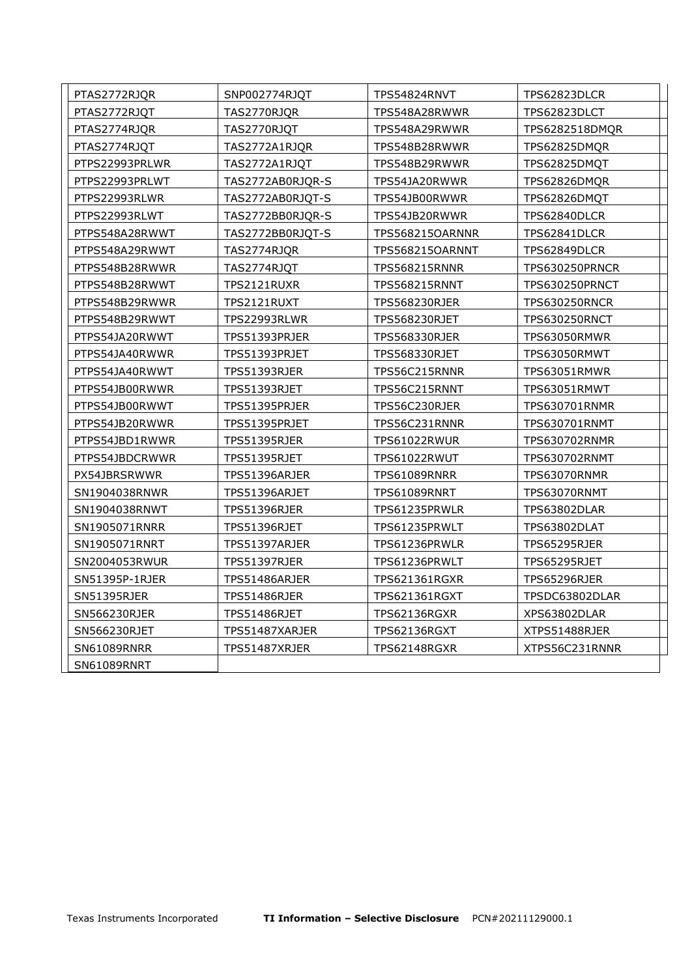| PTAS2772RJQR   | SNP002774RJQT       | TPS54824RNVT         | TPS62823DLCR         |  |
|----------------|---------------------|----------------------|----------------------|--|
| PTAS2772RJQT   | TAS2770RJQR         | TPS548A28RWWR        | TPS62823DLCT         |  |
| PTAS2774RJQR   | TAS2770RJQT         | TPS548A29RWWR        | TPS6282518DMQR       |  |
| PTAS2774RJQT   | TAS2772A1RJQR       | TPS548B28RWWR        | TPS62825DMQR         |  |
| PTPS22993PRLWR | TAS2772A1RJQT       | TPS548B29RWWR        | TPS62825DMQT         |  |
| PTPS22993PRLWT | TAS2772AB0RJQR-S    | TPS54JA20RWWR        | <b>TPS62826DMQR</b>  |  |
| PTPS22993RLWR  | TAS2772AB0RJQT-S    | TPS54JB00RWWR        | TPS62826DMQT         |  |
| PTPS22993RLWT  | TAS2772BB0RJQR-S    | TPS54JB20RWWR        | TPS62840DLCR         |  |
| PTPS548A28RWWT | TAS2772BB0RJQT-S    | TPS568215OARNNR      | TPS62841DLCR         |  |
| PTPS548A29RWWT | TAS2774RJQR         | TPS568215OARNNT      | TPS62849DLCR         |  |
| PTPS548B28RWWR | TAS2774RJQT         | <b>TPS568215RNNR</b> | TPS630250PRNCR       |  |
| PTPS548B28RWWT | TPS2121RUXR         | <b>TPS568215RNNT</b> | TPS630250PRNCT       |  |
| PTPS548B29RWWR | TPS2121RUXT         | <b>TPS568230RJER</b> | <b>TPS630250RNCR</b> |  |
| PTPS548B29RWWT | TPS22993RLWR        | TPS568230RJET        | <b>TPS630250RNCT</b> |  |
| PTPS54JA20RWWT | TPS51393PRJER       | <b>TPS568330RJER</b> | TPS63050RMWR         |  |
| PTPS54JA40RWWR | TPS51393PRJET       | TPS568330RJET        | TPS63050RMWT         |  |
| PTPS54JA40RWWT | <b>TPS51393RJER</b> | TPS56C215RNNR        | <b>TPS63051RMWR</b>  |  |
| PTPS54JB00RWWR | TPS51393RJET        | TPS56C215RNNT        | TPS63051RMWT         |  |
| PTPS54JB00RWWT | TPS51395PRJER       | TPS56C230RJER        | TPS630701RNMR        |  |
| PTPS54JB20RWWR | TPS51395PRJET       | TPS56C231RNNR        | TPS630701RNMT        |  |
| PTPS54JBD1RWWR | <b>TPS51395RJER</b> | <b>TPS61022RWUR</b>  | <b>TPS630702RNMR</b> |  |
| PTPS54JBDCRWWR | TPS51395RJET        | TPS61022RWUT         | TPS630702RNMT        |  |
| PX54JBRSRWWR   | TPS51396ARJER       | TPS61089RNRR         | TPS63070RNMR         |  |
| SN1904038RNWR  | TPS51396ARJET       | TPS61089RNRT         | TPS63070RNMT         |  |
| SN1904038RNWT  | <b>TPS51396RJER</b> | TPS61235PRWLR        | <b>TPS63802DLAR</b>  |  |
| SN1905071RNRR  | TPS51396RJET        | TPS61235PRWLT        | TPS63802DLAT         |  |
| SN1905071RNRT  | TPS51397ARJER       | TPS61236PRWLR        | <b>TPS65295RJER</b>  |  |
| SN2004053RWUR  | TPS51397RJER        | TPS61236PRWLT        | TPS65295RJET         |  |
| SN51395P-1RJER | TPS51486ARJER       | TPS621361RGXR        | TPS65296RJER         |  |
| SN51395RJER    | TPS51486RJER        | TPS621361RGXT        | TPSDC63802DLAR       |  |
| SN566230RJER   | TPS51486RJET        | TPS62136RGXR         | XPS63802DLAR         |  |
| SN566230RJET   | TPS51487XARJER      | TPS62136RGXT         | XTPS51488RJER        |  |
| SN61089RNRR    | TPS51487XRJER       | <b>TPS62148RGXR</b>  | XTPS56C231RNNR       |  |
| SN61089RNRT    |                     |                      |                      |  |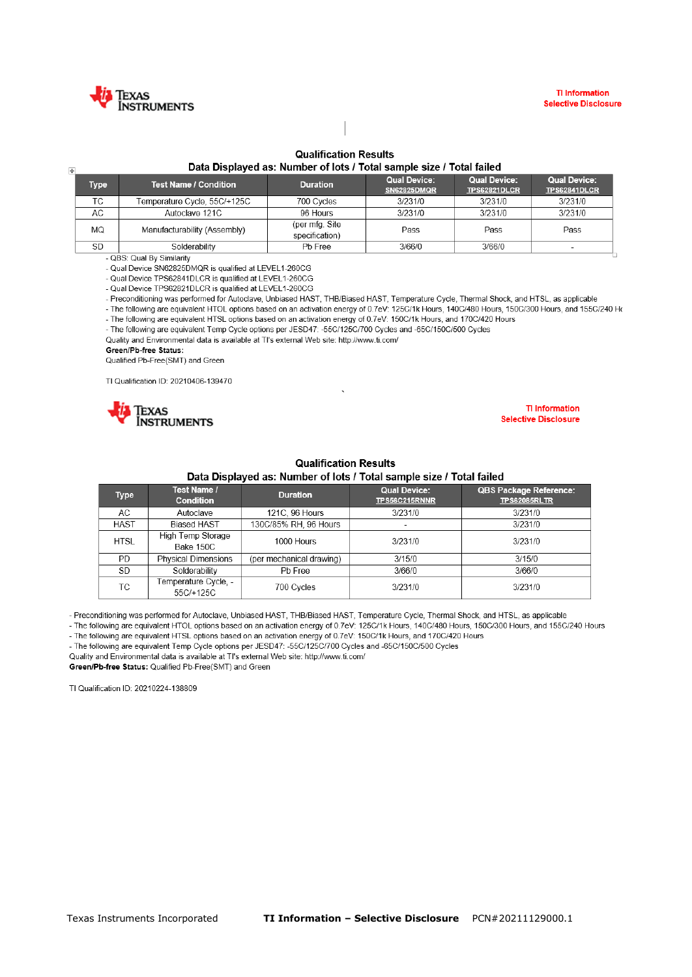

 $\overline{\mathbb{H}}$ 

## **Qualification Results**

Data Displayed as: Number of lots / Total sample size / Total failed

| iype.     | <b>Test Name / Condition</b> | <b>Duration</b>                  | <b>Qual Device:</b><br>SN62825DMQR | <b>Qual Device:</b><br><b>TPS62821DLCR</b> | <b>Qual Device:</b><br><b>TPS62841DLCR</b> |
|-----------|------------------------------|----------------------------------|------------------------------------|--------------------------------------------|--------------------------------------------|
| ТC        | Temperature Cycle, 55C/+125C | 700 Cycles                       | 3/231/0                            | 3/231/0                                    | 3/231/0                                    |
| AC        | Autoclave 121C               | 96 Hours                         | 3/231/0                            | 3/231/0                                    | 3/231/0                                    |
| MQ        | Manufacturability (Assembly) | (per mfg. Site<br>specification) | Pass                               | Pass                                       | Pass                                       |
| <b>SD</b> | Solderability                | Pb Free                          | 3/66/0                             | 3/66/0                                     |                                            |

- QBS: Qual By Similarity

- Qual Device SN62825DMQR is qualified at LEVEL1-260CG

- Qual Device TPS62841DLCR is qualified at LEVEL1-260CG

- Qual Device TPS62821DLCR is qualified at LEVEL1-260CG

- Preconditioning was performed for Autoclave, Unbiased HAST, THB/Biased HAST, Temperature Cycle, Thermal Shock, and HTSL, as applicable

- The following are equivalent HTOL options based on an activation energy of 0.7eV: 125C/1k Hours, 140C/480 Hours, 150C/300 Hours, and 155C/240 Ho - The following are equivalent HTSL options based on an activation energy of 0.7eV: 150C/1k Hours, and 170C/420 Hours

- The following are equivalent Temp Cycle options per JESD47: -55C/125C/700 Cycles and -65C/150C/500 Cycles

Quality and Environmental data is available at TI's external Web site: http://www.ti.com/

Green/Pb-free Status:

Qualified Pb-Free(SMT) and Green

TI Qualification ID: 20210406-139470



**TI Information Selective Disclosure** 

## **Qualification Results**

Data Displayed as: Number of lots / Total sample size / Total failed

| <b>Type</b> | Test Name /<br><b>Condition</b>   | <b>Duration</b>          | <b>Qual Device:</b><br>TPS56C215RNNR | <b>QBS Package Reference:</b><br><b>TPS62085RLTR</b> |
|-------------|-----------------------------------|--------------------------|--------------------------------------|------------------------------------------------------|
| AC.         | Autoclave                         | 121C, 96 Hours           | 3/231/0                              | 3/231/0                                              |
| <b>HAST</b> | <b>Biased HAST</b>                | 130C/85% RH, 96 Hours    |                                      | 3/231/0                                              |
| <b>HTSL</b> | High Temp Storage<br>Bake 150C    | 1000 Hours               | 3/231/0                              | 3/231/0                                              |
| <b>PD</b>   | <b>Physical Dimensions</b>        | (per mechanical drawing) | 3/15/0                               | 3/15/0                                               |
| SD          | Solderability                     | Pb Free                  | 3/66/0                               | 3/66/0                                               |
| ТC          | Temperature Cycle, -<br>55C/+125C | 700 Cycles               | 3/231/0                              | 3/231/0                                              |

- Preconditioning was performed for Autoclave, Unbiased HAST, THB/Biased HAST, Temperature Cycle, Thermal Shock, and HTSL, as applicable

- The following are equivalent HTOL options based on an activation energy of 0.7eV: 125C/1k Hours, 140C/480 Hours, 150C/300 Hours, and 155C/240 Hours - The following are equivalent HTSL options based on an activation energy of 0.7eV: 150C/1k Hours, and 170C/420 Hours

- The following are equivalent Temp Cycle options per JESD47: -55C/125C/700 Cycles and -65C/150C/500 Cycles

Quality and Environmental data is available at TI's external Web site: http://www.ti.com/ Green/Pb-free Status: Qualified Pb-Free(SMT) and Green

TI Qualification ID: 20210224-138809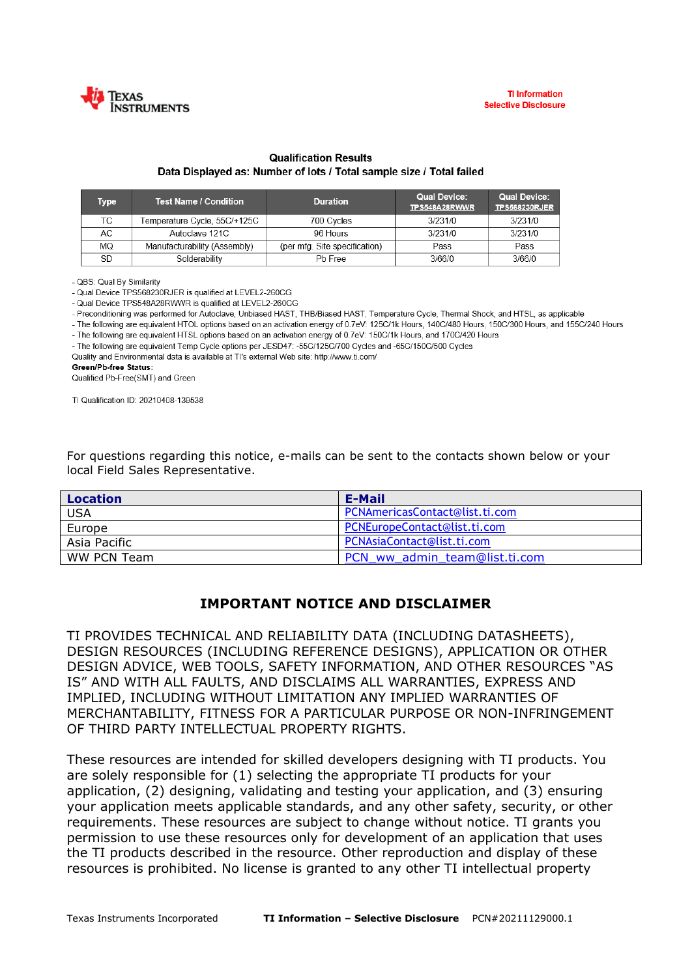

## **Qualification Results** Data Displayed as: Number of lots / Total sample size / Total failed

| <b>Type</b> | <b>Test Name / Condition</b> | <b>Duration</b>               | <b>Qual Device:</b><br>TPS548A28RWWR | <b>Qual Device:</b><br><b>TPS568230RJER</b> |
|-------------|------------------------------|-------------------------------|--------------------------------------|---------------------------------------------|
| ТC          | Temperature Cycle, 55C/+125C | 700 Cycles                    | 3/231/0                              | 3/231/0                                     |
| АC          | Autoclave 121C               | 96 Hours                      | 3/231/0                              | 3/231/0                                     |
| ΜQ          | Manufacturability (Assembly) | (per mfg. Site specification) | Pass                                 | Pass                                        |
| SD          | Solderability                | Pb Free                       | 3/66/0                               | 3/66/0                                      |

- QBS: Qual By Similarity

- Qual Device TPS568230RJER is qualified at LEVEL2-260CG

- Qual Device TPS548A28RWWR is qualified at LEVEL2-260CG

- Preconditioning was performed for Autoclave, Unbiased HAST, THB/Biased HAST, Temperature Cycle, Thermal Shock, and HTSL, as applicable

- The following are equivalent HTOL options based on an activation energy of 0.7eV: 125C/1k Hours, 140C/480 Hours, 150C/300 Hours, and 155C/240 Hours

- The following are equivalent HTSL options based on an activation energy of 0.7eV: 150C/1k Hours, and 170C/420 Hours

- The following are equivalent Temp Cycle options per JESD47: -55C/125C/700 Cycles and -65C/150C/500 Cycles Quality and Environmental data is available at TI's external Web site: http://www.ti.com/

**Green/Pb-free Status:** 

Qualified Pb-Free(SMT) and Green

TI Qualification ID: 20210408-139538

For questions regarding this notice, e-mails can be sent to the contacts shown below or your local Field Sales Representative.

| <b>Location</b> | E-Mail                         |
|-----------------|--------------------------------|
| <b>USA</b>      | PCNAmericasContact@list.ti.com |
| Europe          | PCNEuropeContact@list.ti.com   |
| Asia Pacific    | PCNAsiaContact@list.ti.com     |
| WW PCN Team     | PCN ww admin team@list.ti.com  |

## **IMPORTANT NOTICE AND DISCLAIMER**

TI PROVIDES TECHNICAL AND RELIABILITY DATA (INCLUDING DATASHEETS), DESIGN RESOURCES (INCLUDING REFERENCE DESIGNS), APPLICATION OR OTHER DESIGN ADVICE, WEB TOOLS, SAFETY INFORMATION, AND OTHER RESOURCES "AS IS" AND WITH ALL FAULTS, AND DISCLAIMS ALL WARRANTIES, EXPRESS AND IMPLIED, INCLUDING WITHOUT LIMITATION ANY IMPLIED WARRANTIES OF MERCHANTABILITY, FITNESS FOR A PARTICULAR PURPOSE OR NON-INFRINGEMENT OF THIRD PARTY INTELLECTUAL PROPERTY RIGHTS.

These resources are intended for skilled developers designing with TI products. You are solely responsible for (1) selecting the appropriate TI products for your application, (2) designing, validating and testing your application, and (3) ensuring your application meets applicable standards, and any other safety, security, or other requirements. These resources are subject to change without notice. TI grants you permission to use these resources only for development of an application that uses the TI products described in the resource. Other reproduction and display of these resources is prohibited. No license is granted to any other TI intellectual property